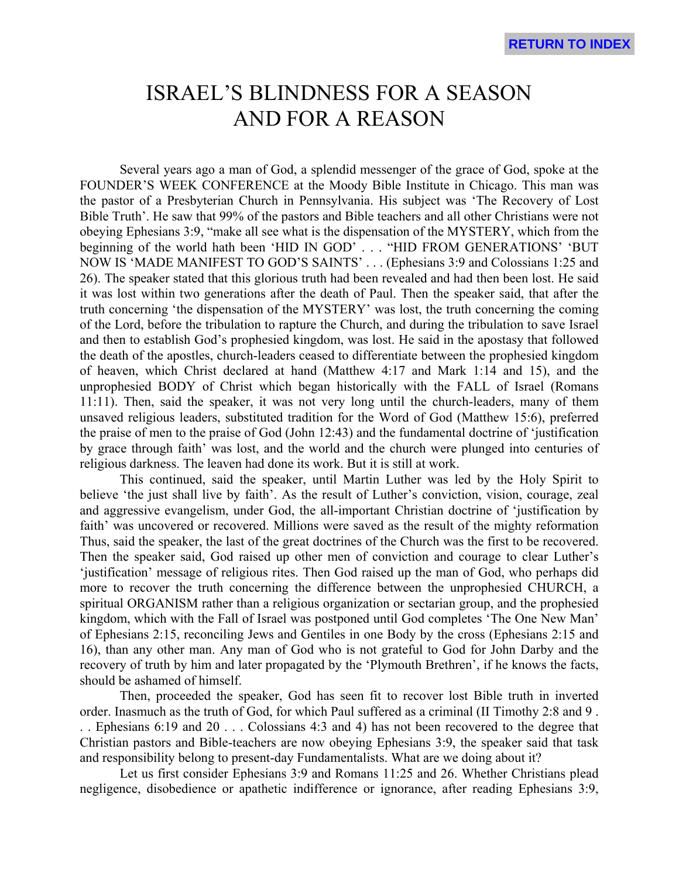## ISRAEL'S BLINDNESS FOR A SEASON AND FOR A REASON

Several years ago a man of God, a splendid messenger of the grace of God, spoke at the FOUNDER'S WEEK CONFERENCE at the Moody Bible Institute in Chicago. This man was the pastor of a Presbyterian Church in Pennsylvania. His subject was 'The Recovery of Lost Bible Truth'. He saw that 99% of the pastors and Bible teachers and all other Christians were not obeying Ephesians 3:9, "make all see what is the dispensation of the MYSTERY, which from the beginning of the world hath been 'HID IN GOD' . . . "HID FROM GENERATIONS' 'BUT NOW IS 'MADE MANIFEST TO GOD'S SAINTS' . . . (Ephesians 3:9 and Colossians 1:25 and 26). The speaker stated that this glorious truth had been revealed and had then been lost. He said it was lost within two generations after the death of Paul. Then the speaker said, that after the truth concerning 'the dispensation of the MYSTERY' was lost, the truth concerning the coming of the Lord, before the tribulation to rapture the Church, and during the tribulation to save Israel and then to establish God's prophesied kingdom, was lost. He said in the apostasy that followed the death of the apostles, church-leaders ceased to differentiate between the prophesied kingdom of heaven, which Christ declared at hand (Matthew 4:17 and Mark 1:14 and 15), and the unprophesied BODY of Christ which began historically with the FALL of Israel (Romans 11:11). Then, said the speaker, it was not very long until the church-leaders, many of them unsaved religious leaders, substituted tradition for the Word of God (Matthew 15:6), preferred the praise of men to the praise of God (John 12:43) and the fundamental doctrine of 'justification by grace through faith' was lost, and the world and the church were plunged into centuries of religious darkness. The leaven had done its work. But it is still at work.

This continued, said the speaker, until Martin Luther was led by the Holy Spirit to believe 'the just shall live by faith'. As the result of Luther's conviction, vision, courage, zeal and aggressive evangelism, under God, the all-important Christian doctrine of 'justification by faith' was uncovered or recovered. Millions were saved as the result of the mighty reformation Thus, said the speaker, the last of the great doctrines of the Church was the first to be recovered. Then the speaker said, God raised up other men of conviction and courage to clear Luther's 'justification' message of religious rites. Then God raised up the man of God, who perhaps did more to recover the truth concerning the difference between the unprophesied CHURCH, a spiritual ORGANISM rather than a religious organization or sectarian group, and the prophesied kingdom, which with the Fall of Israel was postponed until God completes 'The One New Man' of Ephesians 2:15, reconciling Jews and Gentiles in one Body by the cross (Ephesians 2:15 and 16), than any other man. Any man of God who is not grateful to God for John Darby and the recovery of truth by him and later propagated by the 'Plymouth Brethren', if he knows the facts, should be ashamed of himself.

Then, proceeded the speaker, God has seen fit to recover lost Bible truth in inverted order. Inasmuch as the truth of God, for which Paul suffered as a criminal (II Timothy 2:8 and 9 .

. . Ephesians 6:19 and 20 . . . Colossians 4:3 and 4) has not been recovered to the degree that Christian pastors and Bible-teachers are now obeying Ephesians 3:9, the speaker said that task and responsibility belong to present-day Fundamentalists. What are we doing about it?

Let us first consider Ephesians 3:9 and Romans 11:25 and 26. Whether Christians plead negligence, disobedience or apathetic indifference or ignorance, after reading Ephesians 3:9,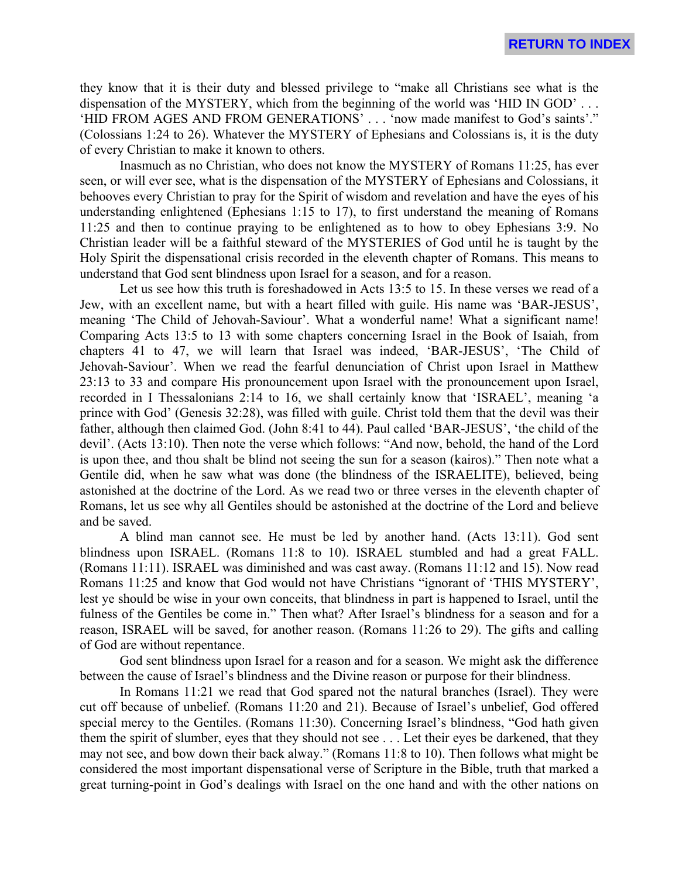they know that it is their duty and blessed privilege to "make all Christians see what is the dispensation of the MYSTERY, which from the beginning of the world was 'HID IN GOD' . . . 'HID FROM AGES AND FROM GENERATIONS' . . . 'now made manifest to God's saints'." (Colossians 1:24 to 26). Whatever the MYSTERY of Ephesians and Colossians is, it is the duty of every Christian to make it known to others.

Inasmuch as no Christian, who does not know the MYSTERY of Romans 11:25, has ever seen, or will ever see, what is the dispensation of the MYSTERY of Ephesians and Colossians, it behooves every Christian to pray for the Spirit of wisdom and revelation and have the eyes of his understanding enlightened (Ephesians 1:15 to 17), to first understand the meaning of Romans 11:25 and then to continue praying to be enlightened as to how to obey Ephesians 3:9. No Christian leader will be a faithful steward of the MYSTERIES of God until he is taught by the Holy Spirit the dispensational crisis recorded in the eleventh chapter of Romans. This means to understand that God sent blindness upon Israel for a season, and for a reason.

Let us see how this truth is foreshadowed in Acts 13:5 to 15. In these verses we read of a Jew, with an excellent name, but with a heart filled with guile. His name was 'BAR-JESUS', meaning 'The Child of Jehovah-Saviour'. What a wonderful name! What a significant name! Comparing Acts 13:5 to 13 with some chapters concerning Israel in the Book of Isaiah, from chapters 41 to 47, we will learn that Israel was indeed, 'BAR-JESUS', 'The Child of Jehovah-Saviour'. When we read the fearful denunciation of Christ upon Israel in Matthew 23:13 to 33 and compare His pronouncement upon Israel with the pronouncement upon Israel, recorded in I Thessalonians 2:14 to 16, we shall certainly know that 'ISRAEL', meaning 'a prince with God' (Genesis 32:28), was filled with guile. Christ told them that the devil was their father, although then claimed God. (John 8:41 to 44). Paul called 'BAR-JESUS', 'the child of the devil'. (Acts 13:10). Then note the verse which follows: "And now, behold, the hand of the Lord is upon thee, and thou shalt be blind not seeing the sun for a season (kairos)." Then note what a Gentile did, when he saw what was done (the blindness of the ISRAELITE), believed, being astonished at the doctrine of the Lord. As we read two or three verses in the eleventh chapter of Romans, let us see why all Gentiles should be astonished at the doctrine of the Lord and believe and be saved.

A blind man cannot see. He must be led by another hand. (Acts 13:11). God sent blindness upon ISRAEL. (Romans 11:8 to 10). ISRAEL stumbled and had a great FALL. (Romans 11:11). ISRAEL was diminished and was cast away. (Romans 11:12 and 15). Now read Romans 11:25 and know that God would not have Christians "ignorant of 'THIS MYSTERY', lest ye should be wise in your own conceits, that blindness in part is happened to Israel, until the fulness of the Gentiles be come in." Then what? After Israel's blindness for a season and for a reason, ISRAEL will be saved, for another reason. (Romans 11:26 to 29). The gifts and calling of God are without repentance.

God sent blindness upon Israel for a reason and for a season. We might ask the difference between the cause of Israel's blindness and the Divine reason or purpose for their blindness.

In Romans 11:21 we read that God spared not the natural branches (Israel). They were cut off because of unbelief. (Romans 11:20 and 21). Because of Israel's unbelief, God offered special mercy to the Gentiles. (Romans 11:30). Concerning Israel's blindness, "God hath given them the spirit of slumber, eyes that they should not see . . . Let their eyes be darkened, that they may not see, and bow down their back alway." (Romans 11:8 to 10). Then follows what might be considered the most important dispensational verse of Scripture in the Bible, truth that marked a great turning-point in God's dealings with Israel on the one hand and with the other nations on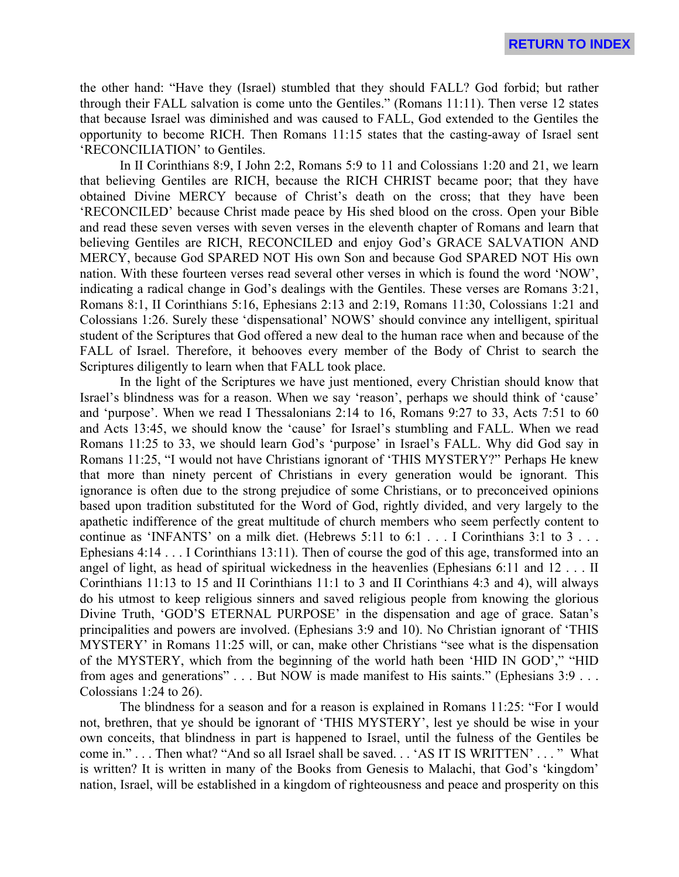the other hand: "Have they (Israel) stumbled that they should FALL? God forbid; but rather through their FALL salvation is come unto the Gentiles." (Romans 11:11). Then verse 12 states that because Israel was diminished and was caused to FALL, God extended to the Gentiles the opportunity to become RICH. Then Romans 11:15 states that the casting-away of Israel sent 'RECONCILIATION' to Gentiles.

In II Corinthians 8:9, I John 2:2, Romans 5:9 to 11 and Colossians 1:20 and 21, we learn that believing Gentiles are RICH, because the RICH CHRIST became poor; that they have obtained Divine MERCY because of Christ's death on the cross; that they have been 'RECONCILED' because Christ made peace by His shed blood on the cross. Open your Bible and read these seven verses with seven verses in the eleventh chapter of Romans and learn that believing Gentiles are RICH, RECONCILED and enjoy God's GRACE SALVATION AND MERCY, because God SPARED NOT His own Son and because God SPARED NOT His own nation. With these fourteen verses read several other verses in which is found the word 'NOW', indicating a radical change in God's dealings with the Gentiles. These verses are Romans 3:21, Romans 8:1, II Corinthians 5:16, Ephesians 2:13 and 2:19, Romans 11:30, Colossians 1:21 and Colossians 1:26. Surely these 'dispensational' NOWS' should convince any intelligent, spiritual student of the Scriptures that God offered a new deal to the human race when and because of the FALL of Israel. Therefore, it behooves every member of the Body of Christ to search the Scriptures diligently to learn when that FALL took place.

In the light of the Scriptures we have just mentioned, every Christian should know that Israel's blindness was for a reason. When we say 'reason', perhaps we should think of 'cause' and 'purpose'. When we read I Thessalonians 2:14 to 16, Romans 9:27 to 33, Acts 7:51 to 60 and Acts 13:45, we should know the 'cause' for Israel's stumbling and FALL. When we read Romans 11:25 to 33, we should learn God's 'purpose' in Israel's FALL. Why did God say in Romans 11:25, "I would not have Christians ignorant of 'THIS MYSTERY?" Perhaps He knew that more than ninety percent of Christians in every generation would be ignorant. This ignorance is often due to the strong prejudice of some Christians, or to preconceived opinions based upon tradition substituted for the Word of God, rightly divided, and very largely to the apathetic indifference of the great multitude of church members who seem perfectly content to continue as 'INFANTS' on a milk diet. (Hebrews 5:11 to 6:1 . . . I Corinthians 3:1 to 3 . . . Ephesians 4:14 . . . I Corinthians 13:11). Then of course the god of this age, transformed into an angel of light, as head of spiritual wickedness in the heavenlies (Ephesians 6:11 and 12 . . . II Corinthians 11:13 to 15 and II Corinthians 11:1 to 3 and II Corinthians 4:3 and 4), will always do his utmost to keep religious sinners and saved religious people from knowing the glorious Divine Truth, 'GOD'S ETERNAL PURPOSE' in the dispensation and age of grace. Satan's principalities and powers are involved. (Ephesians 3:9 and 10). No Christian ignorant of 'THIS MYSTERY' in Romans 11:25 will, or can, make other Christians "see what is the dispensation of the MYSTERY, which from the beginning of the world hath been 'HID IN GOD'," "HID from ages and generations" . . . But NOW is made manifest to His saints." (Ephesians 3:9 . . . Colossians 1:24 to 26).

The blindness for a season and for a reason is explained in Romans 11:25: "For I would not, brethren, that ye should be ignorant of 'THIS MYSTERY', lest ye should be wise in your own conceits, that blindness in part is happened to Israel, until the fulness of the Gentiles be come in." . . . Then what? "And so all Israel shall be saved. . . 'AS IT IS WRITTEN' . . . " What is written? It is written in many of the Books from Genesis to Malachi, that God's 'kingdom' nation, Israel, will be established in a kingdom of righteousness and peace and prosperity on this